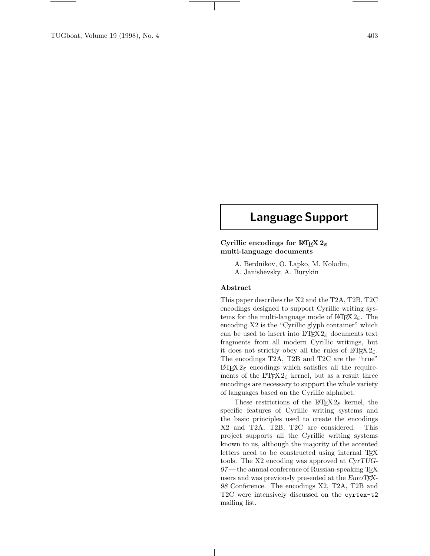# **Language Support**

# **Cyrillic encodings for LATEX 2***ε* **multi-language documents**

A. Berdnikov, O. Lapko, M. Kolodin, A. Janishevsky, A. Burykin

### **Abstract**

This paper describes the X2 and the T2A, T2B, T2C encodings designed to support Cyrillic writing systems for the multi-language mode of  $\mathbb{F} \mathbb{F} \times \mathbb{Z}$ . The encoding X2 is the "Cyrillic glyph container" which can be used to insert into  $\mathbb{A}T\mathbb{F}X2_{\varepsilon}$  documents text fragments from all modern Cyrillic writings, but it does not strictly obey all the rules of  $\angle LFT$ <sub>E</sub>. The encodings T2A, T2B and T2C are the "true" LAT<sub>E</sub>X 2<sub>ε</sub> encodings which satisfies all the requirements of the  $\angle$ FFX 2<sub>ε</sub> kernel, but as a result three encodings are necessary to support the whole variety of languages based on the Cyrillic alphabet.

These restrictions of the LAT<sub>E</sub>X  $2\varepsilon$  kernel, the specific features of Cyrillic writing systems and the basic principles used to create the encodings X2 and T2A, T2B, T2C are considered. This project supports all the Cyrillic writing systems known to us, although the majority of the accented letters need to be constructed using internal T<sub>E</sub>X tools. The X2 encoding was approved at *CyrTUG-97*— the annual conference of Russian-speaking TEX users and was previously presented at the *EuroTEX-98* Conference. The encodings X2, T2A, T2B and T2C were intensively discussed on the cyrtex-t2 mailing list.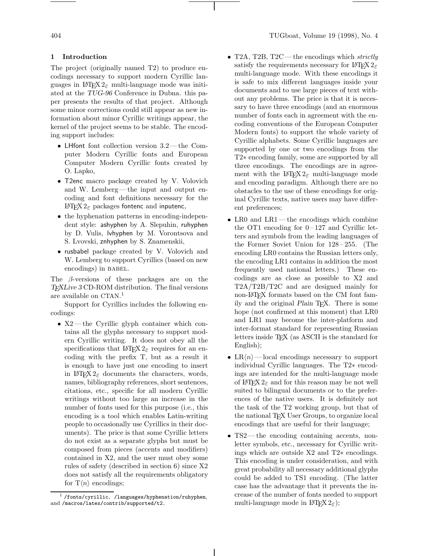### **1 Introduction**

The project (originally named T2) to produce encodings necessary to support modern Cyrillic languages in  $\text{LATEX } 2\varepsilon$  multi-language mode was initiated at the *TUG-96* Conference in Dubna. this paper presents the results of that project. Although some minor corrections could still appear as new information about minor Cyrillic writings appear, the kernel of the project seems to be stable. The encoding support includes:

- LHfont font collection version 3.2— the Computer Modern Cyrillic fonts and European Computer Modern Cyrillic fonts created by O. Lapko,
- T2enc macro package created by V. Volovich and W. Lemberg— the input and output encoding and font definitions necessary for the LAT<sub>F</sub>X 2<sub>ε</sub> packages fontenc and inputenc,
- the hyphenation patterns in encoding-independent style: ashyphen by A. Slepuhin, ruhyphen by D. Vulis, lvhyphen by M. Vorontsova and S. Lvovski, znhyphen by S. Znamenskii,
- rusbabel package created by V. Volovich and W. Lemberg to support Cyrillics (based on new encodings) in BABEL.

The β-versions of these packages are on the *TEXLive 3* CD-ROM distribution. The final versions are available on CTAN. 1

Support for Cyrillics includes the following encodings:

• X2 — the Cyrillic glyph container which contains all the glyphs necessary to support modern Cyrillic writing. It does not obey all the specifications that  $\text{H}\text{E}X2_{\varepsilon}$  requires for an encoding with the prefix T, but as a result it is enough to have just one encoding to insert in  $\angle$ FFX 2<sub> $\epsilon$ </sub> documents the characters, words, names, bibliography references, short sentences, citations, etc., specific for all modern Cyrillic writings without too large an increase in the number of fonts used for this purpose (i.e., this encoding is a tool which enables Latin-writing people to occasionally use Cyrillics in their documents). The price is that some Cyrillic letters do not exist as a separate glyphs but must be composed from pieces (accents and modifiers) contained in X2, and the user must obey some rules of safety (described in section 6) since X2 does not satisfy all the requirements obligatory for  $\mathrm{T}\langle n \rangle$  encodings;

- T2A, T2B, T2C—the encodings which strictly satisfy the requirements necessary for LATEX  $2\varepsilon$ multi-language mode. With these encodings it is safe to mix different languages inside your documents and to use large pieces of text without any problems. The price is that it is necessary to have three encodings (and an enormous number of fonts each in agreement with the encoding conventions of the European Computer Modern fonts) to support the whole variety of Cyrillic alphabets. Some Cyrillic languages are supported by one or two encodings from the T2∗ encoding family, some are supported by all three encodings. The encodings are in agreement with the LAT<sub>E</sub>X  $2_{\epsilon}$  multi-language mode and encoding paradigm. Although there are no obstacles to the use of these encodings for original Cyrillic texts, native users may have different preferences;
- LR0 and LR1—the encodings which combine the OT1 encoding for  $0-127$  and Cyrillic letters and symbols from the leading languages of the Former Soviet Union for 128 – 255. (The encoding LR0 contains the Russian letters only, the encoding LR1 contains in addition the most frequently used national letters.) These encodings are as close as possible to X2 and T2A/T2B/T2C and are designed mainly for non-LATEX formats based on the CM font family and the original *Plain* T<sub>E</sub>X. There is some hope (not confirmed at this moment) that LR0 and LR1 may become the inter-platform and inter-format standard for representing Russian letters inside TEX (as ASCII is the standard for English);
- LR $\langle n \rangle$  local encodings necessary to support individual Cyrillic languages. The T2∗ encodings are intended for the multi-language mode of  $\angle$ IFX  $2_{\epsilon}$  and for this reason may be not well suited to bilingual documents or to the preferences of the native users. It is definitely not the task of the T2 working group, but that of the national T<sub>E</sub>X User Groups, to organize local encodings that are useful for their language;
- TS2—the encoding containing accents, nonletter symbols, etc., necessary for Cyrillic writings which are outside X2 and T2∗ encodings. This encoding is under consideration, and with great probability all necessary additional glyphs could be added to TS1 encoding. (The latter case has the advantage that it prevents the increase of the number of fonts needed to support multi-language mode in  $\mathbb{P}\mathrm{Tr} X 2_{\varepsilon}$ ;

 $<sup>1</sup>$ /fonts/cyrillic, /languages/hyphenation/ruhyphen,</sup> and /macros/latex/contrib/supported/t2.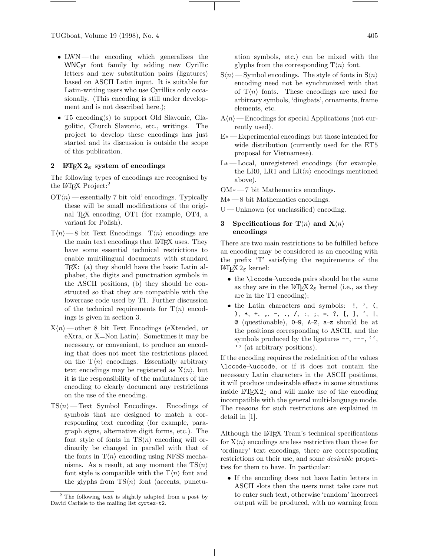TUGboat, Volume 19 (1998), No. 4 405

- LWN— the encoding which generalizes the WNCyr font family by adding new Cyrillic letters and new substitution pairs (ligatures) based on ASCII Latin input. It is suitable for Latin-writing users who use Cyrillics only occasionally. (This encoding is still under development and is not described here.);
- T5 encoding(s) to support Old Slavonic, Glagolitic, Church Slavonic, etc., writings. The project to develop these encodings has just started and its discussion is outside the scope of this publication.

### **2 LATEX 2***ε* **system of encodings**

The following types of encodings are recognised by the LAT<sub>EX</sub> Project:<sup>2</sup>

- $\mathrm{OT}\langle n\rangle$  essentially 7 bit 'old' encodings. Typically these will be small modifications of the original TEX encoding, OT1 (for example, OT4, a variant for Polish).
- $T\langle n\rangle$  —8 bit Text Encodings.  $T\langle n\rangle$  encodings are the main text encodings that LATEX uses. They have some essential technical restrictions to enable multilingual documents with standard TEX: (a) they should have the basic Latin alphabet, the digits and punctuation symbols in the ASCII positions, (b) they should be constructed so that they are compatible with the lowercase code used by T1. Further discussion of the technical requirements for  $T\langle n\rangle$  encodings is given in section 3.
- $X\langle n\rangle$  other 8 bit Text Encodings (eXtended, or eXtra, or X=Non Latin). Sometimes it may be necessary, or convenient, to produce an encoding that does not meet the restrictions placed on the  $T\langle n \rangle$  encodings. Essentially arbitrary text encodings may be registered as  $X\langle n\rangle$ , but it is the responsibility of the maintainers of the encoding to clearly document any restrictions on the use of the encoding.
- $TS\langle n\rangle$  Text Symbol Encodings. Encodings of symbols that are designed to match a corresponding text encoding (for example, paragraph signs, alternative digit forms, etc.). The font style of fonts in  $TS\langle n\rangle$  encoding will ordinarily be changed in parallel with that of the fonts in  $T\langle n \rangle$  encoding using NFSS mechanisms. As a result, at any moment the  $TS\langle n \rangle$ font style is compatible with the  $T\langle n \rangle$  font and the glyphs from  $TS\langle n \rangle$  font (accents, punctu-

ation symbols, etc.) can be mixed with the glyphs from the corresponding  $T\langle n \rangle$  font.

- $S\langle n\rangle$  Symbol encodings. The style of fonts in  $S\langle n\rangle$ encoding need not be synchronized with that of  $T\langle n\rangle$  fonts. These encodings are used for arbitrary symbols, 'dingbats', ornaments, frame elements, etc.
- $A\langle n\rangle$  Encodings for special Applications (not currently used).
- E∗— Experimental encodings but those intended for wide distribution (currently used for the ET5 proposal for Vietnamese).
- L∗ Local, unregistered encodings (for example, the LR0, LR1 and  $LR\langle n\rangle$  encodings mentioned above).
- OM∗— 7 bit Mathematics encodings.
- M<sup>\*</sup> 8 bit Mathematics encodings.
- U Unknown (or unclassified) encoding.

### **3** Specifications for  $\mathbf{T}\langle n \rangle$  and  $\mathbf{X}\langle n \rangle$ **encodings**

There are two main restrictions to be fulfilled before an encoding may be considered as an encoding with the prefix 'T' satisfying the requirements of the LATEX 2ε kernel:

- the **\lccode-\uccode** pairs should be the same as they are in the LAT<sub>EX</sub> 2<sub> $\epsilon$ </sub> kernel (i.e., as they are in the T1 encoding);
- the Latin characters and symbols:  $!, \cdot, \cdot,$ ), \*, +, ,, -, ., /, :, ;, =, ?, [, ], ', |, @ (questionable), 0–9, A–Z, a–z should be at the positions corresponding to ASCII, and the symbols produced by the ligatures  $--, ---, ''$ '' (at arbitrary positions).

If the encoding requires the redefinition of the values \lccode–\uccode, or if it does not contain the necessary Latin characters in the ASCII positions, it will produce undesirable effects in some situations inside L<sup>AT</sup>EX 2<sub>ε</sub> and will make use of the encoding incompatible with the general multi-language mode. The reasons for such restrictions are explained in detail in [1].

Although the L<sup>AT</sup>EX Team's technical specifications for  $X\langle n\rangle$  encodings are less restrictive than those for 'ordinary' text encodings, there are corresponding restrictions on their use, and some *desirable* properties for them to have. In particular:

• If the encoding does not have Latin letters in ASCII slots then the users must take care not to enter such text, otherwise 'random' incorrect output will be produced, with no warning from

<sup>2</sup> The following text is slightly adapted from a post by David Carlisle to the mailing list cyrtex-t2.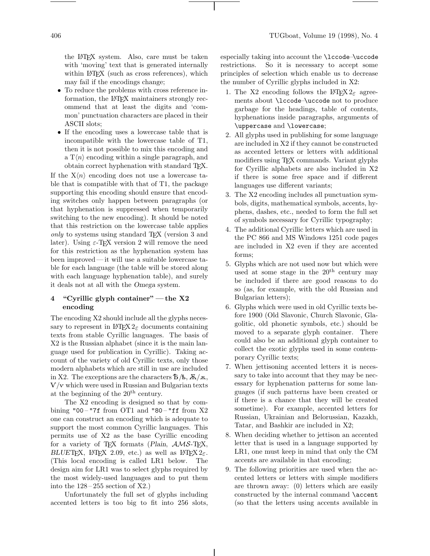the LATEX system. Also, care must be taken with 'moving' text that is generated internally within LAT<sub>EX</sub> (such as cross references), which may fail if the encodings change;

- To reduce the problems with cross reference information, the IATEX maintainers strongly recommend that at least the digits and 'common' punctuation characters are placed in their ASCII slots;
- If the encoding uses a lowercase table that is incompatible with the lowercase table of T1, then it is not possible to mix this encoding and a  $T\langle n\rangle$  encoding within a single paragraph, and obtain correct hyphenation with standard TEX.

If the  $X\langle n\rangle$  encoding does not use a lowercase table that is compatible with that of T1, the package supporting this encoding should ensure that encoding switches only happen between paragraphs (or that hyphenation is suppressed when temporarily switching to the new encoding). It should be noted that this restriction on the lowercase table applies only to systems using standard TEX (version 3 and later). Using  $\varepsilon$ -T<sub>F</sub>X version 2 will remove the need for this restriction as the hyphenation system has been improved— it will use a suitable lowercase table for each language (the table will be stored along with each language hyphenation table), and surely it deals not at all with the *Omega* system.

### **4"Cyrillic glyph container" — the X2 encoding**

The encoding X2 should include all the glyphs necessary to represent in  $\mathbb{H}\mathbb{E}X\,2_{\varepsilon}$  documents containing texts from stable Cyrillic languages. The basis of X2 is the Russian alphabet (since it is the main language used for publication in Cyrillic). Taking account of the variety of old Cyrillic texts, only those modern alphabets which are still in use are included in X2. The exceptions are the characters  $\mathbf{\bar{B}}/\mathbf{\tilde{B}}$ ,  $\mathbf{\tilde{A}}/\mathbf{\tilde{A}}$ ,  $V/v$  which were used in Russian and Bulgarian texts at the beginning of the 20th century.

The X2 encoding is designed so that by combining "00 – "7f from OT1 and "80 – "ff from  $X2$ one can construct an encoding which is adequate to support the most common Cyrillic languages. This permits use of X2 as the base Cyrillic encoding for a variety of T<sub>E</sub>X formats (*Plain*,  $\mathcal{AMS}$ -T<sub>E</sub>X, *BLUE*TEX, L<sup>AT</sup>EX 2.09, etc.) as well as LATEX  $2\varepsilon$ . (This local encoding is called LR1 below. The design aim for LR1 was to select glyphs required by the most widely-used languages and to put them into the  $128-255$  section of X2.)

Unfortunately the full set of glyphs including accented letters is too big to fit into 256 slots, especially taking into account the \lccode–\uccode restrictions. So it is necessary to accept some principles of selection which enable us to decrease the number of Cyrillic glyphs included in X2:

- 1. The X2 encoding follows the LAT<sub>F</sub>X  $2_{\epsilon}$  agreements about \lccode–\uccode not to produce garbage for the headings, table of contents, hyphenations inside paragraphs, arguments of \uppercase and \lowercase;
- 2. All glyphs used in publishing for some language are included in X2 if they cannot be constructed as accented letters or letters with additional modifiers using TEX commands. Variant glyphs for Cyrillic alphabets are also included in X2 if there is some free space and if different languages use different variants;
- 3. The X2 encoding includes all punctuation symbols, digits, mathematical symbols, accents, hyphens, dashes, etc., needed to form the full set of symbols necessary for Cyrillic typography;
- 4. The additional Cyrillic letters which are used in the PC 866 and MS Windows 1251 code pages are included in X2 even if they are accented forms;
- 5. Glyphs which are not used now but which were used at some stage in the  $20<sup>th</sup>$  century may be included if there are good reasons to do so (as, for example, with the old Russian and Bulgarian letters);
- 6. Glyphs which were used in old Cyrillic texts before 1900 (Old Slavonic, Church Slavonic, Glagolitic, old phonetic symbols, etc.) should be moved to a separate glyph container. There could also be an additional glyph container to collect the exotic glyphs used in some contemporary Cyrillic texts;
- 7. When jettisoning accented letters it is necessary to take into account that they may be necessary for hyphenation patterns for some languages (if such patterns have been created or if there is a chance that they will be created sometime). For example, accented letters for Russian, Ukrainian and Belorussian, Kazakh, Tatar, and Bashkir are included in X2;
- 8. When deciding whether to jettison an accented letter that is used in a language supported by LR1, one must keep in mind that only the CM accents are available in that encoding;
- 9. The following priorities are used when the accented letters or letters with simple modifiers are thrown away: (0) letters which are easily constructed by the internal command \accent (so that the letters using accents available in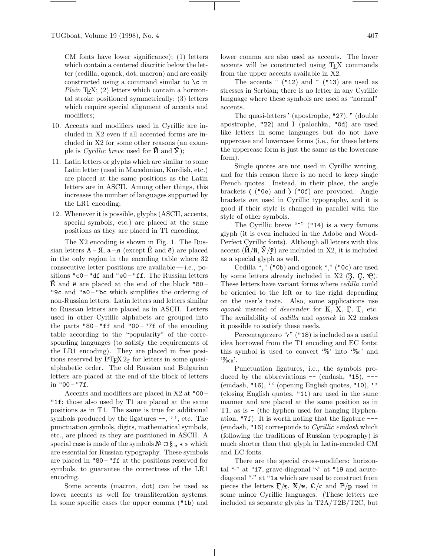CM fonts have lower significance); (1) letters which contain a centered diacritic below the letter (cedilla, ogonek, dot, macron) and are easily constructed using a command similar to  $\setminus c$  in *Plain* T<sub>E</sub>X; (2) letters which contain a horizontal stroke positioned symmetrically; (3) letters which require special alignment of accents and modifiers;

- 10. Accents and modifiers used in Cyrillic are included in X2 even if all accented forms are included in X2 for some other reasons (an example is *Cyrillic breve* used for  $\check{M}$  and  $\check{V}$ );
- 11. Latin letters or glyphs which are similar to some Latin letter (used in Macedonian, Kurdish, etc.) are placed at the same positions as the Latin letters are in ASCII. Among other things, this increases the number of languages supported by the LR1 encoding;
- 12. Whenever it is possible, glyphs (ASCII, accents, special symbols, etc.) are placed at the same positions as they are placed in T1 encoding.

The X2 encoding is shown in Fig. 1. The Russian letters  $A - \overline{A}$ ,  $a - \overline{A}$  (except  $\overline{E}$  and  $\overline{e}$ ) are placed in the only region in the encoding table where 32 consecutive letter positions are available— i.e., positions "c0 – "df and "e0 – "ff. The Russian letters  $\dot{E}$  and  $\ddot{e}$  are placed at the end of the block "80 – "9c and "a0-"bc which simplifies the ordering of non-Russian letters. Latin letters and letters similar to Russian letters are placed as in ASCII. Letters used in other Cyrillic alphabets are grouped into the parts "80 – " $\mathbf{f}$  and "00 – "7 $\mathbf{f}$  of the encoding table according to the "popularity" of the corresponding languages (to satisfy the requirements of the LR1 encoding). They are placed in free positions reserved by LAT<sub>E</sub>X  $2\varepsilon$  for letters in some quasialphabetic order. The old Russian and Bulgarian letters are placed at the end of the block of letters in  $"00 - "7f.$ 

Accents and modifiers are placed in X2 at "00 – "1f; those also used by T1 are placed at the same positions as in T1. The same is true for additional symbols produced by the ligatures  $-\frac{1}{2}$ , etc. The punctuation symbols, digits, mathematical symbols, etc., are placed as they are positioned in ASCII. A special case is made of the symbols  $\mathbb{N}^{\circ} \boxtimes \S$ ,  $\ast \ast$  which are essential for Russian typography. These symbols are placed in "80 – "ff at the positions reserved for symbols, to guarantee the correctness of the LR1 encoding.

Some accents (macron, dot) can be used as lower accents as well for transliteration systems. In some specific cases the upper comma ("1b) and

lower comma are also used as accents. The lower accents will be constructed using TEX commands from the upper accents available in X2.

The accents  $\hat{ }$  ("12) and  $\hat{ }$  ("13) are used as stresses in Serbian; there is no letter in any Cyrillic language where these symbols are used as "normal" accents.

The quasi-letters ' (apostrophe, "27), " (double apostrophe, "22) and (palochka, "0d) are used like letters in some languages but do not have uppercase and lowercase forms (i.e., for these letters the uppercase form is just the same as the lowercase form).

Single quotes are not used in Cyrillic writing, and for this reason there is no need to keep single French quotes. Instead, in their place, the angle brackets  $\langle$  ("0e) and  $\rangle$  ("0f) are provided. Angle brackets are used in Cyrillic typography, and it is good if their style is changed in parallel with the style of other symbols.

The Cyrillic breve """  $($ "14) is a very famous glyph (it is even included in the Adobe and Word-Perfect Cyrillic fonts). Although all letters with this accent  $(\mathbf{\check{U}}/\mathbf{\check{n}}, \mathbf{\check{V}}/\mathbf{\check{y}})$  are included in X2, it is included as a special glyph as well.

Cedilla "" ("0b) and ogonek "" ("0c) are used by some letters already included in  $X2$  (3, C,  $\Theta$ ). These letters have variant forms where cedilla could be oriented to the left or to the right depending on the user's taste. Also, some applications use ogonek instead of *descender* for  $K$ ,  $X$ ,  $\Gamma$ ,  $T$ , etc. The availability of *cedilla* and *ogonek* in X2 makes it possible to satisfy these needs.

Percentage zero " $_0$ " ("18) is included as a useful idea borrowed from the T1 encoding and EC fonts: this symbol is used to convert '%' into '%' and  $\cdot\%$ <sub>00</sub>'.

Punctuation ligatures, i.e., the symbols produced by the abbreviations  $-$  (endash, "15),  $-$ (emdash, "16), '' (opening English quotes, "10), '' (closing English quotes, "11) are used in the same manner and are placed at the same position as in T1, as is - (the hyphen used for hanging Hyphenation, "7f). It is worth noting that the ligature --- (emdash, "16) corresponds to Cyrillic emdash which (following the traditions of Russian typography) is much shorter than that glyph in Latin-encoded CM and EC fonts.

There are the special cross-modifiers: horizontal "-" at "17, grave-diagonal " $\cdot$ " at "19 and acutediagonal "," at "1a which are used to construct from pieces the letters  $f/\overline{r}$ ,  $\overline{X}/\overline{x}$ ,  $C/\overline{c}$  and  $P/\overline{p}$  used in some minor Cyrillic languages. (These letters are included as separate glyphs in T2A/T2B/T2C, but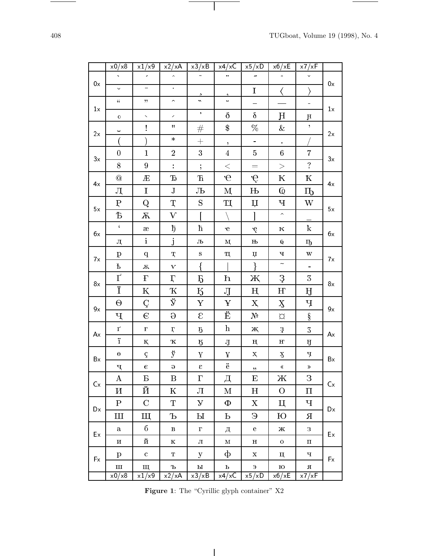$\overline{\phantom{a}}$ 

 $\sim$ 

|    | x0/x8                     | x1/x9                    | $\overline{x^2}/xA$         | $\overline{x}$ 3/xB    | x4/xC                | $\overline{x}$ 5/xD       | $\overline{x}6/xE$        | x7/xF                |    |  |
|----|---------------------------|--------------------------|-----------------------------|------------------------|----------------------|---------------------------|---------------------------|----------------------|----|--|
| 0x | $\ddot{\phantom{0}}$      | $\epsilon$               | $\hat{\mathcal{N}}$         |                        | $\bullet\bullet$     | n                         | $\bullet$                 | $\checkmark$         | 0x |  |
|    | U                         | $\equiv$                 | $\bullet$ .                 | $\Delta$               | $\pmb{\zeta}$        | $\bf I$                   | $\langle$                 | $\rangle$            |    |  |
|    | $\zeta\zeta$              | $\pmb{\gamma}$           | $\hat{\phantom{a}}$         | $\ddot{\phantom{1}}$   | $\ddot{\phantom{0}}$ |                           |                           | ÷                    | 1x |  |
| 1x | $\mathbf 0$               | $\bar{\mathbf{v}}$       | $\mathcal{E}_{\mathcal{E}}$ | $\bullet$              | $\delta$             | $\delta$                  | H                         | $\mathbf{H}$         |    |  |
|    | Ч                         | Ţ                        | $\mathbf H$                 | #                      | $\$\$                | $\%$                      | $\&$                      | $\pmb{\gamma}$       |    |  |
| 2x |                           |                          | $\ast$                      | $+$                    | $\pmb{\gamma}$       | $\frac{1}{\sqrt{2}}$      | $\ddot{\phantom{a}}$      |                      | 2x |  |
|    | $\boldsymbol{0}$          | $\mathbf{1}$             | $\overline{2}$              | $\boldsymbol{3}$       | $\overline{4}$       | $\bf 5$                   | $\,6\,$                   | $\overline{7}$       |    |  |
| 3x | 8                         | $9\phantom{.0}$          | $\ddot{\cdot}$              | $\vdots$               | $\leq$               | $=$                       | $\,>$                     | $\ddot{?}$           | 3x |  |
|    | $\circledcirc$            | Æ                        | Ъ                           | $\mathbf F$            | $\overline{e}$       | ę                         | К                         | K                    |    |  |
| 4x | Д                         | $\mathbf I$              | $\bf J$                     | Љ                      | М                    | $\mathbf{H}$              | $\overline{\mathbb Q}$    | Ҧ                    | 4x |  |
|    | $\mathbf P$               | Q                        | Ţ                           | S                      | Щ                    | $\mathbf{\mu}$            | Ч                         | W                    |    |  |
| 5x | Ъ                         | $\, \mathrm{X} \,$       | $\rm V$                     | $\overline{1}$         |                      | 1                         | $\hat{\phantom{a}}$       |                      | 5x |  |
|    | $\zeta$                   | $\rm \approx$            | $\overline{D}$              | ħ                      | $\epsilon$           | ę                         | ${\bf K}$                 | $\rm k$              |    |  |
| бx | Д                         | $\mathbf{i}$             | $\mathbf{j}$                | $J\!b$                 | $\mathbf{M}$         | $\rm H\!b$                | ${\mathbb Q}$             | ҧ                    | бx |  |
|    | $\mathbf{p}$              | $\mathbf q$              | $\mathbf{T}$                | ${\bf S}$              | $\mathbf T$          | $\upmu$                   | Ч                         | W                    |    |  |
| 7x | $\rm \acute{E}$           | $\sqrt{\Lambda}$         | $\mathbf{V}$                | $\{$                   |                      | $\mathcal{E}$             | $\overline{\phantom{0}}$  | $\frac{1}{\sqrt{2}}$ | 7x |  |
|    | $\Gamma$                  | $\boldsymbol{\Gamma}$    | $\Gamma$                    | <b>B</b>               | $\mathbf h$          | Ж                         | 3                         | $\mathfrak{Z}$       |    |  |
| 8x | Ï                         | K                        | $\mathbf K$                 | $\rm K$                | $\rm J$              | $H_{\rm}$                 | H                         | Ĥ                    | 8x |  |
|    | $\Theta$                  | $\boldsymbol{\varsigma}$ | ÿ                           | Y                      | ¥                    | X                         | $\boldsymbol{\mathrm{X}}$ | Ч                    | 9x |  |
| 9х | Ҷ                         | $\epsilon$               | $\Theta$                    | $\mathcal{E}$          | Ë                    | N <sup>0</sup>            | $\varnothing$             | $\S$                 |    |  |
| Ax | $\Gamma$                  | $\mathbf{F}$             | $\pmb{\Gamma}$              | $\rm 5$                | $\bold{h}$           | Ж                         | 3                         | $\sqrt{3}$           | Ax |  |
|    | ï                         | $K_{\rm}$                | $\mathbf K$                 | <b>5</b>               | ${\bf J}$            | H                         | $\mathbf H$               | IJ                   |    |  |
| Bx | $\Theta$                  | $\boldsymbol{\varsigma}$ | $\ddot{\textbf{y}}$         | $\mathbf Y$            | $\mathbf Y$          | $\mathbf{X}_\text{t}$     | $\mathbf X$               | Ч                    | Bx |  |
|    | Ч                         | $\epsilon$               | $\Theta$                    | $\epsilon$             | $\ddot{\text{e}}$    | $\pmb{\gamma}$            | $\ll$                     | $\gg$                |    |  |
| Cx | $\bf{A}$                  | Б                        | B                           | $\Gamma$               | Д                    | E                         | Ж                         | З                    | Cx |  |
|    | $\boldsymbol{\mathit{M}}$ | Й                        | ${\bf K}$                   | Л                      | M                    | $\boldsymbol{\mathrm{H}}$ | $\mathcal{O}$             | $\boldsymbol{\Pi}$   |    |  |
| Dx | $\mathbf P$               | $\mathbf C$              | T                           | $\mathbf{y}$           | Φ                    | X                         | Ц                         | Ч                    | Dx |  |
|    | Ш                         | Щ                        | Ъ                           | $\mathbf{p}$           | Ь                    | Э                         | Ю                         | Я                    |    |  |
| Ex | ${\bf a}$                 | $\sqrt{6}$               | $\, {\bf B}$                | $\Gamma$               | д                    | $\mathbf{e}$              | $\mathbf X$               | 3                    | Ex |  |
|    | $\, {\bf N}$              | й                        | $\mathbf K$                 | Л                      | $\mathbf M$          | $\, {\bf H}$              | $\mathbf O$               | $\boldsymbol{\Pi}$   |    |  |
| Fx | $\mathbf{p}$              | $\mathbf{C}$             | T                           | y                      | ф                    | $\mathbf X$               | ц                         | Ч                    | Fx |  |
|    | $\rm III$                 | щ                        | $\mathbf d$                 | $\mathbf{P}\mathbf{I}$ | $\, {\bf p}$         | $\epsilon$                | $\,$ tO $\,$              | $\, {\bf R}$         |    |  |
|    | x0/x8                     | x1/x9                    | x2/xA                       | x3/xB                  | x4/xC                | x5/xD                     | x6/xE                     | x7/xF                |    |  |

 $\mathbf{I}$ 

**Figure 1**: The "Cyrillic glyph container" X2

 $\overline{\phantom{a}}$ 

 $\overline{\phantom{a}}$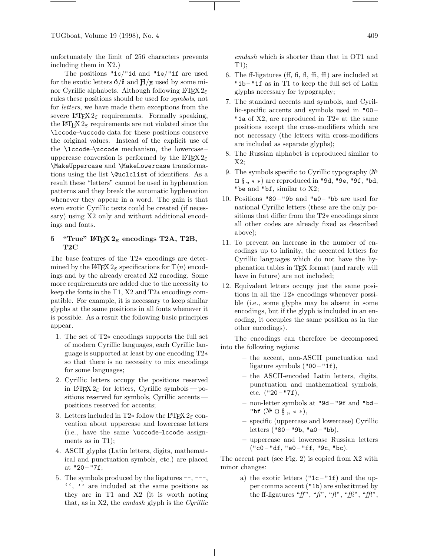TUGboat, Volume 19 (1998), No. 4 409

unfortunately the limit of 256 characters prevents including them in X2.)

The positions "1c/"1d and "1e/"1f are used for the exotic letters  $\delta/\delta$  and  $H/H$  used by some minor Cyrillic alphabets. Although following  $\mathbb{E} \mathbb{E} \mathbb{E} \mathbb{E} \mathbb{E} \mathbb{E} \mathbb{E} \mathbb{E} \mathbb{E} \mathbb{E} \mathbb{E} \mathbb{E} \mathbb{E} \mathbb{E} \mathbb{E} \mathbb{E} \mathbb{E} \mathbb{E} \mathbb{E} \mathbb{E} \mathbb{E} \mathbb{E} \mathbb{E} \mathbb{E} \mathbb{E} \mathbb{E} \mathbb{E} \mathbb{E} \mathbb{E} \mathbb$ rules these positions should be used for symbols, not for letters, we have made them exceptions from the severe L<sup>AT</sup>EX  $2\varepsilon$  requirements. Formally speaking, the LAT<sub>E</sub>X  $2_{\epsilon}$  requirements are not violated since the \lccode–\uccode data for these positions conserve the original values. Instead of the explicit use of the \lccode–\uccode mechanism, the lowercase – uppercase conversion is performed by the LAT<sub>E</sub>X  $2\varepsilon$ \MakeUppercase and \MakeLowercase transformations using the list **\@uclclist** of identifiers. As a result these "letters" cannot be used in hyphenation patterns and they break the automatic hyphenation whenever they appear in a word. The gain is that even exotic Cyrillic texts could be created (if necessary) using X2 only and without additional encodings and fonts.

## **5** "True"  $\angle MEX \ge \epsilon$  encodings T2A, T2B, **T2C**

The base features of the T2∗ encodings are determined by the L<sup>AT</sup>EX  $2\varepsilon$  specifications for  $T\langle n \rangle$  encodings and by the already created X2 encoding. Some more requirements are added due to the necessity to keep the fonts in the T1, X2 and T2∗ encodings compatible. For example, it is necessary to keep similar glyphs at the same positions in all fonts whenever it is possible. As a result the following basic principles appear.

- 1. The set of T2∗ encodings supports the full set of modern Cyrillic languages, each Cyrillic language is supported at least by one encoding T2∗ so that there is no necessity to mix encodings for some languages;
- 2. Cyrillic letters occupy the positions reserved in  $\mathbb{E} \mathbb{E} \mathbb{E} \mathbb{E} \mathbb{E} \mathbb{E} \mathbb{E} \mathbb{E} \mathbb{E} \mathbb{E} \mathbb{E} \mathbb{E} \mathbb{E} \mathbb{E} \mathbb{E} \mathbb{E} \mathbb{E} \mathbb{E} \mathbb{E} \mathbb{E} \mathbb{E} \mathbb{E} \mathbb{E} \mathbb{E} \mathbb{E} \mathbb{E} \mathbb{E} \mathbb{E} \mathbb{E} \mathbb{E} \mathbb{E} \mathbb{E} \mathbb{E} \mathbb{E} \mathbb{E} \mathbb{E} \$ sitions reserved for symbols, Cyrillic accents positions reserved for accents;
- 3. Letters included in T2 $*$  follow the LATEX  $2 \epsilon$  convention about uppercase and lowercase letters (i.e., have the same \uccode–lccode assignments as in T1);
- 4. ASCII glyphs (Latin letters, digits, mathematical and punctuation symbols, etc.) are placed at  $"20 - "7f;$
- 5. The symbols produced by the ligatures --, ---, '', '' are included at the same positions as they are in T1 and X2 (it is worth noting that, as in X2, the emdash glyph is the Cyrillic

emdash which is shorter than that in OT1 and T1);

- 6. The ff-ligatures (ff, fi, fl, ffi, ffl) are included at "1b – "1f as in T1 to keep the full set of Latin glyphs necessary for typography;
- 7. The standard accents and symbols, and Cyrillic-specific accents and symbols used in "00 – "1a of X2, are reproduced in T2∗ at the same positions except the cross-modifiers which are not necessary (the letters with cross-modifiers are included as separate glyphs);
- 8. The Russian alphabet is reproduced similar to X2;
- 9. The symbols specific to Cyrillic typography  $(N<sup>2</sup>)$  $\[\square \ \S\],\ \*\!\!\!\rightarrow\]$  are reproduced in "9d, "9e, "9f, "bd, "be and "bf, similar to X2;
- 10. Positions  $"80 "9b$  and  $"a0 "bb$  are used for national Cyrillic letters (these are the only positions that differ from the T2∗ encodings since all other codes are already fixed as described above);
- 11. To prevent an increase in the number of encodings up to infinity, the accented letters for Cyrillic languages which do not have the hyphenation tables in TEX format (and rarely will have in future) are not included;
- 12. Equivalent letters occupy just the same positions in all the T2∗ encodings whenever possible (i.e., some glyphs may be absent in some encodings, but if the glyph is included in an encoding, it occupies the same position as in the other encodings).

The encodings can therefore be decomposed into the following regions:

- **–** the accent, non-ASCII punctuation and ligature symbols  $("00 - "1f),$
- **–** the ASCII-encoded Latin letters, digits, punctuation and mathematical symbols, etc.  $("20 - "7f),$
- **–** non-letter symbols at "9d "9f and "bd "bf  $(N^{\circ} \boxtimes \S$ ,  $\ast \ast)$ ,
- **–** specific (uppercase and lowercase) Cyrillic letters  $("80 - "9b, "a0 - "bb),$
- **–** uppercase and lowercase Russian letters  $("c0 - "df, "e0 - "ff, "9c, "bc)].$

The accent part (see Fig. 2) is copied from X2 with minor changes:

> a) the exotic letters  $("1c - "1f)$  and the upper comma accent ("1b) are substituted by the ff-ligatures " $ff$ ", " $fi$ ", " $ff$ ", " $ff$ ", " $ff$ ",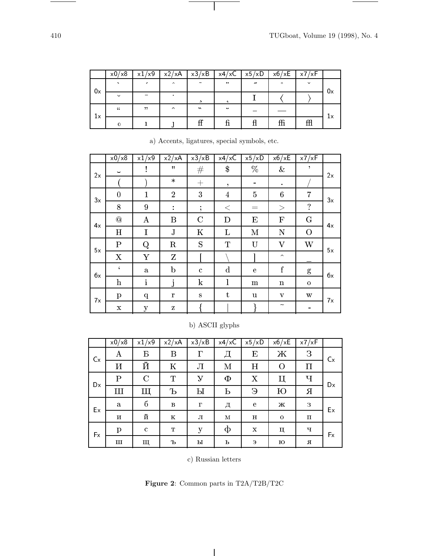e.

|    | x0/x8         | x1/x9                    | x2/xA  | x3/xB                      | $x4/xC$   $x5/xD$ |                  | x6/xE   | x7/xF        |    |
|----|---------------|--------------------------|--------|----------------------------|-------------------|------------------|---------|--------------|----|
| 0x |               |                          | $\sim$ | $\tilde{\phantom{a}}$      | $\bullet\bullet$  | $\overline{\nu}$ | $\circ$ | $\checkmark$ | 0x |
|    | $\checkmark$  | $\overline{\phantom{a}}$ |        | s.                         |                   |                  |         |              |    |
| 1x | $\mathcal{L}$ | , 22                     | $\sim$ | $\boldsymbol{\mathcal{N}}$ | $\cdot$           |                  |         |              |    |
|    |               |                          |        |                            |                   |                  | ffi     | 毌            | 1x |

 $\vert$ 

|    | x0/x8                    | x1/x9          | x2/xA          | x3/xB        | x4/xC          | x5/xD           | x6/xE                     | x7/xF          |    |
|----|--------------------------|----------------|----------------|--------------|----------------|-----------------|---------------------------|----------------|----|
| 2x | $\overline{\phantom{0}}$ | $\ddot{\cdot}$ | $\mathbf{H}$   | #            | $\$\$          | %               | $\&$                      | ,              | 2x |
|    |                          |                | $\ast$         | $+$          | ,              | $\qquad \qquad$ | $\bullet$                 |                |    |
| 3x | $\boldsymbol{0}$         | $\mathbf{1}$   | $\overline{2}$ | 3            | $\overline{4}$ | 5               | 6                         | $\overline{7}$ | 3x |
|    | 8                        | 9              | ÷              | $\ddot{,}$   | $\,<\,$        | $=$             | >                         | $\cdot$        |    |
| 4x | $^\copyright$            | $\bf{A}$       | B              | $\mathbf C$  | D              | E               | $\mathbf{F}$              | $\mathbf G$    | 4x |
|    | $H_{\rm}$                | I              | J              | K            | L              | M               | N                         | $\mathcal{O}$  |    |
| 5x | $\mathbf P$              | Q              | $\mathbf R$    | S            | $\mathbf T$    | U               | $\rm V$                   | W              | 5x |
|    | X                        | Y              | Z              |              |                |                 | $\widehat{\phantom{a}}$   |                |    |
| бx | $\epsilon$               | a              | $\mathbf b$    | $\mathbf{c}$ | $\mathbf d$    | e               | $\mathbf f$               | $\mathbf{g}$   | 6x |
|    | $\mathbf{h}$             | $\mathbf{i}$   | j              | $\bf k$      | 1              | m               | $\mathbf n$               | $\mathbf{O}$   |    |
| 7х | $\mathbf{p}$             | $\mathbf{q}$   | r              | S            | t              | u               | $\mathbf{V}$              | w              | 7x |
|    | X                        | y              | z              |              |                |                 | $\widetilde{\phantom{m}}$ |                |    |

a) Accents, ligatures, special symbols, etc.

# b) ASCII glyphs

|    | x0/x8        | x1/x9       | x2/xA        | x3/xB    | x4/xC | x5/xD       | x6/xE       | x7/xF         |    |
|----|--------------|-------------|--------------|----------|-------|-------------|-------------|---------------|----|
| Cx | A            | Б           | $\bf{B}$     | $\Gamma$ |       | E           | Ж           | $\mathcal{S}$ | Cx |
|    | И            | Й           | $\rm K$      | Л        | М     | Η           | $\Omega$    | П             |    |
| Dx | $\mathbf P$  | $\mathbf C$ | T            | У        | Φ     | X           | Ц           | Ч             | Dx |
|    | Ш            | Щ           | Ъ            | Ы        | Ь     | $\Theta$    | Ю           | Я             |    |
| Ex | a            | б           | $\, {\bf B}$ | $\Gamma$ | д     | e           | Ж           | 3             | Ex |
|    | И            | й           | $\mathbf K$  | л        | М     | н           | $\mathbf 0$ | п             |    |
| Fx | $\mathbf{p}$ | $\mathbf c$ | T            | y        | ф     | $\mathbf x$ | ц           | ч             | Fx |
|    | Ш            | Щ           | Ъ            | ы        | ь     | Э           | ю           | Я             |    |

c) Russian letters

**Figure 2**: Common parts in T2A/T2B/T2C

 $\overline{\phantom{a}}$ 

 $\frac{1}{\sqrt{2\pi}}\left( \frac{1}{\sqrt{2\pi}}\right) ^{2}=\frac{1}{2\sqrt{2\pi}}\left( \frac{1}{\sqrt{2\pi}}\right) ^{2}=\frac{1}{2\sqrt{2\pi}}\left( \frac{1}{2\sqrt{2\pi}}\right) ^{2}=\frac{1}{2\sqrt{2\pi}}\left( \frac{1}{2\sqrt{2\pi}}\right) ^{2}=\frac{1}{2\sqrt{2\pi}}\left( \frac{1}{2\sqrt{2\pi}}\right) ^{2}=\frac{1}{2\sqrt{2\pi}}\left( \frac{1}{2\sqrt{2\pi}}\right) ^{2}=\frac{1}{2\$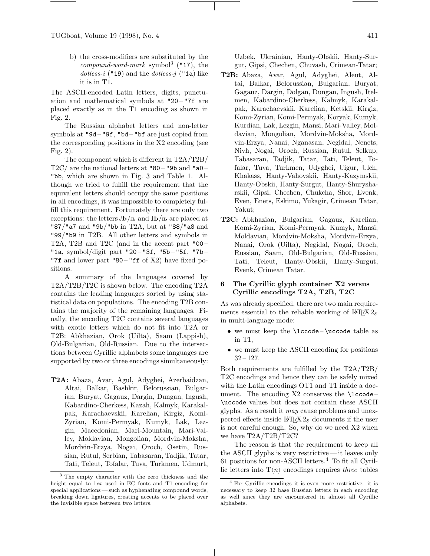b) the cross-modifiers are substituted by the compound-word-mark symbol<sup>3</sup> ("17), the dotless-i ("19) and the dotless-j ("1a) like it is in T1.

The ASCII-encoded Latin letters, digits, punctuation and mathematical symbols at "20 – "7f are placed exactly as in the T1 encoding as shown in Fig. 2.

The Russian alphabet letters and non-letter symbols at "9d-"9f, "bd-"bf are just copied from the corresponding positions in the X2 encoding (see Fig. 2).

The component which is different in T2A/T2B/ T2C/ are the national letters at  $"80 - "9b$  and  $"a0 -$ "bb, which are shown in Fig. 3 and Table 1. Although we tried to fulfill the requirement that the equivalent letters should occupy the same positions in all encodings, it was impossible to completely fulfill this requirement. Fortunately there are only two exceptions: the letters  $\mathbf{L}/\mathbf{L}$  and  $\mathbf{H}/\mathbf{L}$  are placed at "87/"a7 and "9b/"bb in T2A, but at "88/"a8 and "99/"b9 in T2B. All other letters and symbols in T2A, T2B and T2C (and in the accent part "00 – "1a, symbol/digit part "20 – "3f, "5b – "5f, "7b – "7f and lower part "80 – "ff of  $X2$ ) have fixed positions.

A summary of the languages covered by T2A/T2B/T2C is shown below. The encoding T2A contains the leading languages sorted by using statistical data on populations. The encoding T2B contains the majority of the remaining languages. Finally, the encoding T2C contains several languages with exotic letters which do not fit into T2A or T2B: Abkhazian, Orok (Uilta), Saam (Lappish), Old-Bulgarian, Old-Russian. Due to the intersections between Cyrillic alphabets some languages are supported by two or three encodings simultaneously:

**T2A:** Abaza, Avar, Agul, Adyghei, Azerbaidzan, Altai, Balkar, Bashkir, Belorussian, Bulgarian, Buryat, Gagauz, Dargin, Dungan, Ingush, Kabardino-Cherkess, Kazah, Kalmyk, Karakalpak, Karachaevskii, Karelian, Kirgiz, Komi-Zyrian, Komi-Permyak, Kumyk, Lak, Lezgin, Macedonian, Mari-Mountain, Mari-Valley, Moldavian, Mongolian, Mordvin-Moksha, Mordvin-Erzya, Nogai, Oroch, Osetin, Russian, Rutul, Serbian, Tabasaran, Tadjik, Tatar, Tati, Teleut, Tofalar, Tuva, Turkmen, Udmurt, Uzbek, Ukrainian, Hanty-Obskii, Hanty-Surgut, Gipsi, Chechen, Chuvash, Crimean-Tatar;

- **T2B:** Abaza, Avar, Agul, Adyghei, Aleut, Altai, Balkar, Belorussian, Bulgarian, Buryat, Gagauz, Dargin, Dolgan, Dungan, Ingush, Itelmen, Kabardino-Cherkess, Kalmyk, Karakalpak, Karachaevskii, Karelian, Ketskii, Kirgiz, Komi-Zyrian, Komi-Permyak, Koryak, Kumyk, Kurdian, Lak, Lezgin, Mansi, Mari-Valley, Moldavian, Mongolian, Mordvin-Moksha, Mordvin-Erzya, Nanai, Nganasan, Negidal, Nenets, Nivh, Nogai, Oroch, Russian, Rutul, Selkup, Tabasaran, Tadjik, Tatar, Tati, Teleut, Tofalar, Tuva, Turkmen, Udyghei, Uigur, Ulch, Khakass, Hanty-Vahovskii, Hanty-Kazymskii, Hanty-Obskii, Hanty-Surgut, Hanty-Shurysharskii, Gipsi, Chechen, Chukcha, Shor, Evenk, Even, Enets, Eskimo, Yukagir, Crimean Tatar, Yakut;
- **T2C:** Abkhazian, Bulgarian, Gagauz, Karelian, Komi-Zyrian, Komi-Permyak, Kumyk, Mansi, Moldavian, Mordvin-Moksha, Mordvin-Erzya, Nanai, Orok (Uilta), Negidal, Nogai, Oroch, Russian, Saam, Old-Bulgarian, Old-Russian, Tati, Teleut, Hanty-Obskii, Hanty-Surgut, Evenk, Crimean Tatar.

## **6 The Cyrillic glyph container X2 versus Cyrillic encodings T2A, T2B, T2C**

As was already specified, there are two main requirements essential to the reliable working of LATEX  $2\varepsilon$ in multi-language mode:

- we must keep the \lccode \uccode table as in T1,
- we must keep the ASCII encoding for positions  $32 - 127$ .

Both requirements are fulfilled by the T2A/T2B/ T2C encodings and hence they can be safely mixed with the Latin encodings OT1 and T1 inside a document. The encoding  $X2$  conserves the  $\lq$ lccode – \uccode values but does not contain these ASCII glyphs. As a result it may cause problems and unexpected effects inside  $\mathbb{F} \mathbb{F} \mathbb{F} \mathbb{F} \mathbb{F} \mathbb{F}$  documents if the user is not careful enough. So, why do we need X2 when we have T2A/T2B/T2C?

The reason is that the requirement to keep all the ASCII glyphs is very restrictive— it leaves only 61 positions for non-ASCII letters. $4$  To fit all Cyrillic letters into  $T\langle n\rangle$  encodings requires three tables

<sup>3</sup> The empty character with the zero thickness and the height equal to 1ex used in EC fonts and T1 encoding for special applications — such as hyphenating compound words, breaking down ligatures, creating accents to be placed over the invisible space between two letters.

<sup>4</sup> For Cyrillic encodings it is even more restrictive: it is necessary to keep 32 base Russian letters in each encoding as well since they are encountered in almost all Cyrillic alphabets.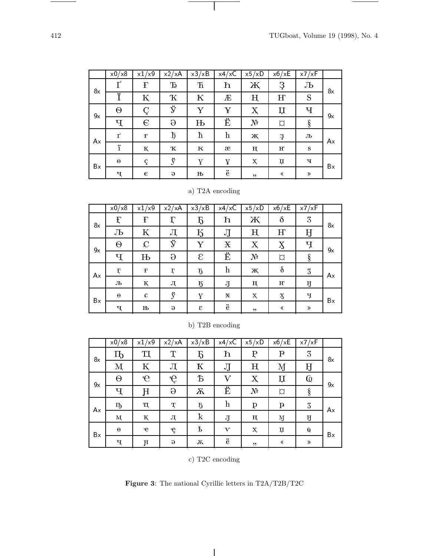—

|    | x0/x8    | x1/x9       | x2/xA        | x3/xB        | x4/xC                     | x5/xD          | x6/xE                                               | x7/xF |    |
|----|----------|-------------|--------------|--------------|---------------------------|----------------|-----------------------------------------------------|-------|----|
| 8x |          | F           | $\mathbf{D}$ | $\mathbf T$  | h                         | Ж              | Ş                                                   | Љ     | 8x |
|    | Ÿ        | Κ           | Ҡ            | К            | Æ                         | ң              | H <sup>o</sup>                                      | S     |    |
| 9x | $\Theta$ |             | ÿ            | Y            | ¥                         | Х              | Џ                                                   | Ч     | 9x |
|    | Ч        | $\epsilon$  | $\Theta$     | $\mathbf{H}$ | Ë                         | N <sup>2</sup> | $\varnothing$                                       | ş     |    |
| Ax | Г        | $\mathbf F$ | ħ            | ħ            | $\boldsymbol{\mathrm{h}}$ | Ж              | 3                                                   | Љ     | Аx |
|    | ï        | К           | к            | к            | æ                         | ц              | н                                                   | S     |    |
| Bx | $\Theta$ | ç           | ÿ            | Y            | Y                         | $\mathbf x$    | $\,\mathop{\mathrm{I}\mskip-4.0mu{\rm I}}\nolimits$ | ч     | Вx |
|    | ч        | $\epsilon$  | $\Theta$     | њ            | ë                         | ,7             | ∢                                                   | ≫     |    |

 $\vert$ 

# a) T2A encoding

|    | x0/x8        | x1/x9         | $\overline{x^2}/xA$ | x3/xB          | x4/xC      | x5/xD            | x6/xE                     | x7/xF |    |
|----|--------------|---------------|---------------------|----------------|------------|------------------|---------------------------|-------|----|
| 8x | $\mathbf{f}$ | $\mathbf{F}$  | Г                   | Ҕ              | h          | Ж                | $\delta$                  | 3     | 8x |
|    | Љ            | Κ             | Л                   | K)             | JJ         | ң                | H                         | IJ    |    |
| 9x | Θ            | $\mathcal{C}$ | ÿ                   | Y              | Х          | $\boldsymbol{X}$ | $\boldsymbol{\mathrm{X}}$ | Ч     | 9x |
|    | Ч            | $\mathbf{H}$  | $\Theta$            | ε              | Ë          | N <sup>0</sup>   | $\alpha$                  | ş     |    |
| Ax | Ę            | $\mathbf F$   | ӷ                   | $\overline{b}$ | $_{\rm h}$ | ж                | $\delta$                  | 3     | Аx |
|    | Љ            | қ             | Л                   | ĸ              | IJ         | ң                | н                         | IJ    |    |
| Bx | $\Theta$     | $\mathcal{L}$ | ÿ                   | Y              | Х          | X                | $\boldsymbol{\mathrm{X}}$ | Ţ     | Bx |
|    | ч            | њ             | $\Theta$            | ε              | ë          | , 2)             | ∢                         | $\gg$ |    |

|    | x0/x8    | x1/x9        | x2/xA    | x3/xB          | $x4/x\overline{C}$        | x5/xD          | x6/xE         | x7/xF                   |    |
|----|----------|--------------|----------|----------------|---------------------------|----------------|---------------|-------------------------|----|
| 8x | Ҧ        | Ί            | Т        | Б              | h                         | Р              | $\mathbf P$   | 3                       | 8x |
|    | М        | K            | Л        | K              | JJ                        | ң              | Ŋ             | Ĥ                       |    |
| 9x | Θ        | $\mathbf{e}$ | ę        | Ъ              | $\rm V$                   | Х              | IJ            | $\overline{\mathbb{Q}}$ | 9x |
|    | Ч        | H            | $\Theta$ | $\overline{K}$ | Ë                         | N <sup>0</sup> | $\varnothing$ | $\S$                    |    |
| Ax | ҧ        | щ            | Т        | $\overline{5}$ | $\boldsymbol{\mathrm{h}}$ | p              | $\mathbf{p}$  | 3                       | Ax |
|    | M        | қ            | Л        | $\mathbf k$    | IJ                        | ң              | M             | IJ                      |    |
| Bx | $\Theta$ | $\mathbf{e}$ | ę        | ť              | $\bf{V}$                  | $\mathbf{x}$   | ц             | $\mathbb Q$             | Bx |
|    | Ч        | Ħ            | $\Theta$ | Ѫ              | $\ddot{\text{e}}$         | , 2)           | ∢             | $\gg$                   |    |

# b) T2B encoding

c) T2C encoding

**Figure 3**: The national Cyrillic letters in T2A/T2B/T2C

 $\overline{\phantom{a}}$ 

 $\sim$   $\sim$   $\sim$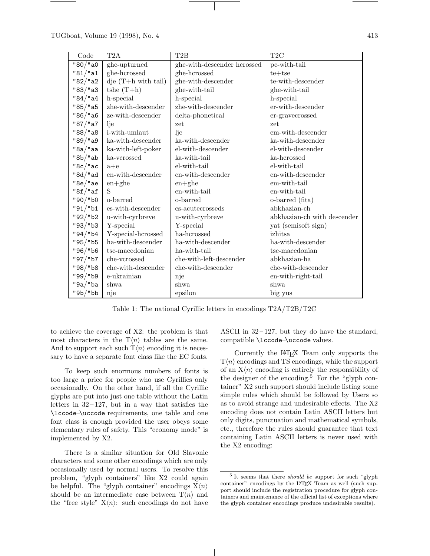| Code          | T2A                                | T <sub>2</sub> B            | T2C                         |
|---------------|------------------------------------|-----------------------------|-----------------------------|
| "80 "a0       | ghe-upturned                       | ghe-with-descender hcrossed | pe-with-tail                |
| "81"a1        | ghe-hcrossed                       | ghe-hcrossed                | $te+tse$                    |
| "82 "a2       | $\text{d}$ je (T+h with tail)      | ghe-with-descender          | te-with-descender           |
| "83"a3        | $tshe(T+h)$                        | ghe-with-tail               | ghe-with-tail               |
| "84"a4        | h-special                          | h-special                   | h-special                   |
| "85 "a5       | zhe-with-descender                 | zhe-with-descender          | er-with-descender           |
| "86 "a6       | ze-with-descender                  | $delta$ -phonetical         | er-gravecrossed             |
| "87/"a7       | lje                                | zet                         | zet                         |
| "88 "a8       | i-with-umlaut                      | lje                         | em-with-descender           |
| "89"a9        | ka-with-descender                  | ka-with-descender           | ka-with-descender           |
| "8a"aa        | ka-with-left-poker                 | el-with-descender           | el-with-descender           |
| " $8b$ "ab    | ka-vcrossed                        | ka-with-tail                | ka-hcrossed                 |
| "8c"ac        | $a + e$                            | $el$ -with-tail             | el-with-tail                |
| "8d"ad        | en-with-descender                  | en-with-descender           | en-with-descender           |
| "8e/"ae       | $en + ghe$                         | $en + ghe$                  | em-with-tail                |
| $"8f$ /"af    | S                                  | en-with-tail                | en-with-tail                |
| $"90$ /"b0    | o-barred                           | o-barred                    | o-barred (fita)             |
| "91"b1        | es-with-descender                  | es-acutecrosseds            | abkhazian-ch                |
| "92/"b2       | u-with-cyrbreve                    | u-with-cyrbreve             | abkhazian-ch with descender |
| "93 "b3       | Y-special                          | Y-special                   | yat (semisoft sign)         |
| $"94$ / $"b4$ | Y-special-hcrossed                 | ha-hcrossed                 | izhitsa                     |
| "95/"b5       | ha-with-descender                  | ha-with-descender           | ha-with-descender           |
| "96 "b6       | tse-macedonian                     | ha-with-tail                | tse-macedonian              |
| "97/"b7       | che-vcrossed                       | che-with-left-descender     | abkhazian-ha                |
| "98/"b8       | $_{\rm che\text{-}with-descender}$ | che-with-descender          | che-with-descender          |
| "99/"b9       | e-ukrainian                        | nje                         | en-with-right-tail          |
| "9a"ba        | shwa                               | shwa                        | shwa                        |
| $"9b$ /"bb    | nje                                | epsilon                     | big yus                     |

Table 1: The national Cyrillic letters in encodings T2A/T2B/T2C

to achieve the coverage of X2: the problem is that most characters in the  $T\langle n\rangle$  tables are the same. And to support each such  $T\langle n\rangle$  encoding it is necessary to have a separate font class like the EC fonts.

To keep such enormous numbers of fonts is too large a price for people who use Cyrillics only occasionally. On the other hand, if all the Cyrillic glyphs are put into just one table without the Latin letters in  $32-127$ , but in a way that satisfies the \lccode–\uccode requirements, one table and one font class is enough provided the user obeys some elementary rules of safety. This "economy mode" is implemented by X2.

There is a similar situation for Old Slavonic characters and some other encodings which are only occasionally used by normal users. To resolve this problem, "glyph containers" like X2 could again be helpful. The "glyph container" encodings  $X\langle n\rangle$ should be an intermediate case between  $\mathcal{T}\langle n \rangle$  and the "free style"  $X\langle n \rangle$ : such encodings do not have

ASCII in  $32-127$ , but they do have the standard, compatible \lccode–\uccode values.

Currently the LATEX Team only supports the  $T\langle n\rangle$  encodings and TS encodings, while the support of an  $X\langle n\rangle$  encoding is entirely the responsibility of the designer of the encoding.<sup>5</sup> For the "glyph container" X2 such support should include listing some simple rules which should be followed by Users so as to avoid strange and undesirable effects. The X2 encoding does not contain Latin ASCII letters but only digits, punctuation and mathematical symbols, etc., therefore the rules should guarantee that text containing Latin ASCII letters is never used with the X2 encoding:

<sup>5</sup> It seems that there should be support for such "glyph container" encodings by the LATEX Team as well (such support should include the registration procedure for glyph containers and maintenance of the official list of exceptions where the glyph container encodings produce undesirable results).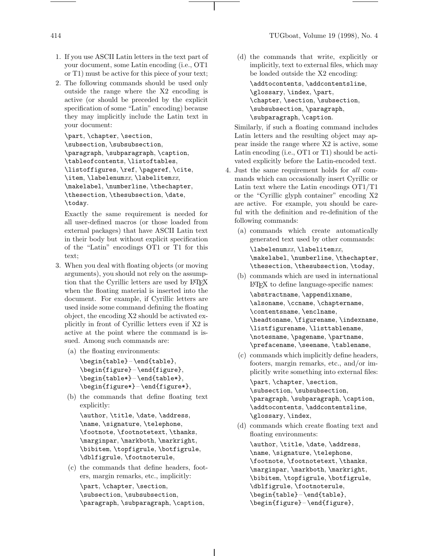- 1. If you use ASCII Latin letters in the text part of your document, some Latin encoding (i.e., OT1 or T1) must be active for this piece of your text;
- 2. The following commands should be used only outside the range where the X2 encoding is active (or should be preceded by the explicit specification of some "Latin" encoding) because they may implicitly include the Latin text in your document:

```
\part, \chapter, \section,
\subsection, \subsubsection,
\paragraph, \subparagraph, \caption,
\tableofcontents, \listoftables,
\listoffigures, \ref, \pageref, \cite,
\setminusitem, \setminuslabelenumxx, \setminuslabelitemxx,
\makelabel, \numberline, \thechapter,
\thesection, \thesubsection, \date,
\today.
```
Exactly the same requirement is needed for all user-defined macros (or those loaded from external packages) that have ASCII Latin text in their body but without explicit specification of the "Latin" encodings OT1 or T1 for this text;

- 3. When you deal with floating objects (or moving arguments), you should not rely on the assumption that the Cyrillic letters are used by LAT<sub>EX</sub> when the floating material is inserted into the document. For example, if Cyrillic letters are used inside some command defining the floating object, the encoding X2 should be activated explicitly in front of Cyrillic letters even if X2 is active at the point where the command is issued. Among such commands are:
	- (a) the floating environments:

```
\begin{table}– \end{table},
\begin{figure}– \end{figure},
\begin{table*}– \end{table*},
\begin{figure*}– \end{figure*},
```
(b) the commands that define floating text explicitly:

```
\author, \title, \date, \address,
\name, \signature, \telephone,
\footnote, \footnotetext, \thanks,
\marginpar, \markboth, \markright,
\bibitem, \topfigrule, \botfigrule,
\dblfigrule, \footnoterule,
```
(c) the commands that define headers, footers, margin remarks, etc., implicitly: \part, \chapter, \section, \subsection, \subsubsection,

\paragraph, \subparagraph, \caption,

(d) the commands that write, explicitly or implicitly, text to external files, which may be loaded outside the X2 encoding: \addtocontents, \addcontentsline, \glossary, \index, \part, \chapter, \section, \subsection, \subsubsection, \paragraph, \subparagraph, \caption.

Similarly, if such a floating command includes Latin letters and the resulting object may appear inside the range where X2 is active, some Latin encoding (i.e., OT1 or T1) should be activated explicitly before the Latin-encoded text.

- 4. Just the same requirement holds for all commands which can occasionally insert Cyrillic or Latin text where the Latin encodings OT1/T1 or the "Cyrillic glyph container" encoding X2 are active. For example, you should be careful with the definition and re-definition of the following commands:
	- (a) commands which create automatically generated text used by other commands:

 $\lambda x$ ,  $\lambda x$ ,  $\lambda y$ ,  $\lambda x$ ,  $\lambda y$ ,  $\lambda z$ ,  $\lambda z$ ,  $\lambda z$ ,  $\lambda z$ ,  $\lambda z$ ,  $\lambda z$ ,  $\lambda z$ ,  $\lambda z$ ,  $\lambda z$ ,  $\lambda z$ ,  $\lambda z$ ,  $\lambda z$ ,  $\lambda z$ ,  $\lambda z$ ,  $\lambda z$ ,  $\lambda z$ ,  $\lambda z$ ,  $\lambda z$ ,  $\lambda z$ ,  $\lambda z$ ,  $\lambda z$ ,  $\lambda z$ ,  $\lambda z$ ,  $\lambda z$ ,  $\lambda z$ ,  $\lambda z$ ,  $\lambda z$ \makelabel, \numberline, \thechapter, \thesection, \thesubsection, \today,

- (b) commands which are used in international LATEX to define language-specific names: \abstractname, \appendixname, \alsoname, \ccname, \chaptername, \contentsname, \enclname, \headtoname, \figurename, \indexname, \listfigurename, \listtablename, \notesname, \pagename, \partname, \prefacename, \seename, \tablename,
- (c) commands which implicitly define headers, footers, margin remarks, etc., and/or implicitly write something into external files:

\part, \chapter, \section, \subsection, \subsubsection, \paragraph, \subparagraph, \caption, \addtocontents, \addcontentsline, \glossary, \index,

(d) commands which create floating text and floating environments: \author, \title, \date, \address, \name, \signature, \telephone, \footnote, \footnotetext, \thanks, \marginpar, \markboth, \markright, \bibitem, \topfigrule, \botfigrule, \dblfigrule, \footnoterule, \begin{table}– \end{table}, \begin{figure}– \end{figure},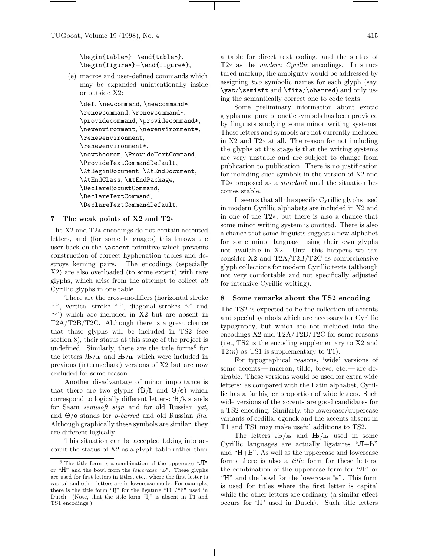\begin{table\*}– \end{table\*}, \begin{figure\*}– \end{figure\*},

(e) macros and user-defined commands which may be expanded unintentionally inside or outside X2:

\def, \newcommand, \newcommand\*, \renewcommand, \renewcommand\*, \providecommand, \providecommand\*, \newenvironment, \newenvironment\*, \renewenvironment, \renewenvironment\*, \newtheorem, \ProvideTextCommand, \ProvideTextCommandDefault, \AtBeginDocument, \AtEndDocument, \AtEndClass, \AtEndPackage, \DeclareRobustCommand, \DeclareTextCommand, \DeclareTextCommandDefault.

### **7 The weak points of X2 and T2**∗

The X2 and T2∗ encodings do not contain accented letters, and (for some languages) this throws the user back on the \accent primitive which prevents construction of correct hyphenation tables and destroys kerning pairs. The encodings (especially X2) are also overloaded (to some extent) with rare glyphs, which arise from the attempt to collect all Cyrillic glyphs in one table.

There are the cross-modifiers (horizontal stroke ".", vertical stroke "", diagonal strokes "," and "") which are included in X2 but are absent in T2A/T2B/T2C. Although there is a great chance that these glyphs will be included in TS2 (see section 8), their status at this stage of the project is undefined. Similarly, there are the title forms  $6$  for the letters  $J\mathbf{b}/\mathbf{n}$  and  $\mathbf{b}/\mathbf{n}$  which were included in previous (intermediate) versions of X2 but are now excluded for some reason.

Another disadvantage of minor importance is that there are two glyphs  $(\mathbf{b}/\mathbf{k})$  and  $\Theta/\Theta$  which correspond to logically different letters:  $\bar{b}/\bar{b}$  stands for Saam semisoft sign and for old Russian yat, and  $\Theta$ / $\Theta$  stands for *o-barred* and old Russian *fita*. Although graphically these symbols are similar, they are different logically.

This situation can be accepted taking into account the status of X2 as a glyph table rather than a table for direct text coding, and the status of T2∗ as the modern Cyrillic encodings. In structured markup, the ambiguity would be addressed by assigning two symbolic names for each glyph (say, \yat/\semisft and \fita/\obarred) and only using the semantically correct one to code texts.

Some preliminary information about exotic glyphs and pure phonetic symbols has been provided by linguists studying some minor writing systems. These letters and symbols are not currently included in X2 and T2∗ at all. The reason for not including the glyphs at this stage is that the writing systems are very unstable and are subject to change from publication to publication. There is no justification for including such symbols in the version of X2 and T2∗ proposed as a standard until the situation becomes stable.

It seems that all the specific Cyrillic glyphs used in modern Cyrillic alphabets are included in X2 and in one of the T2∗, but there is also a chance that some minor writing system is omitted. There is also a chance that some linguists suggest a new alphabet for some minor language using their own glyphs not available in X2. Until this happens we can consider X2 and T2A/T2B/T2C as comprehensive glyph collections for modern Cyrillic texts (although not very comfortable and not specifically adjusted for intensive Cyrillic writing).

#### **8 Some remarks about the TS2 encoding**

The TS2 is expected to be the collection of accents and special symbols which are necessary for Cyrillic typography, but which are not included into the encodings X2 and T2A/T2B/T2C for some reasons (i.e., TS2 is the encoding supplementary to X2 and  $T2\langle n \rangle$  as TS1 is supplementary to T1).

For typographical reasons, 'wide' versions of some accents— macron, tilde, breve, etc. — are desirable. These versions would be used for extra wide letters: as compared with the Latin alphabet, Cyrillic has a far higher proportion of wide letters. Such wide versions of the accents are good candidates for a TS2 encoding. Similarly, the lowercase/uppercase variants of cedilla, ogonek and the accents absent in T1 and TS1 may make useful additions to TS2.

The letters  $J\mathbf{b}/\mathbf{n}$  and  $\mathbf{B}/\mathbf{n}$  used in some Cyrillic languages are actually ligatures " $\mathrm{J}+\mathrm{L}$ " and " $H + b$ ". As well as the uppercase and lowercase forms there is also a *title* form for these letters: the combination of the uppercase form for " $\Pi$ " or "H" and the bowl for the lowercase " $\mu$ ". This form is used for titles where the first letter is capital while the other letters are ordinary (a similar effect occurs for 'IJ' used in Dutch). Such title letters

<sup>&</sup>lt;sup>6</sup> The title form is a combination of the uppercase " $\Pi$ " or " $H$ " and the bowl from the *lowercase* " $\mathbf{b}$ ". These glyphs are used for first letters in titles, etc., where the first letter is capital and other letters are in lowercase mode. For example, there is the title form "Ij" for the ligature "IJ"/"ij" used in Dutch. (Note, that the title form "Ij" is absent in T1 and TS1 encodings.)